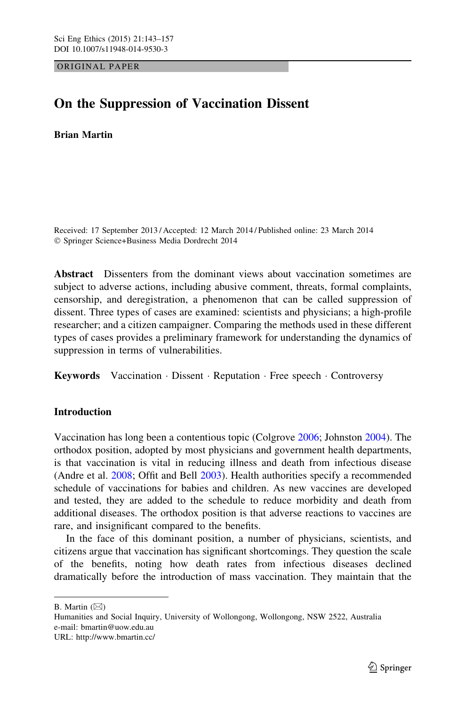ORIGINAL PAPER

# On the Suppression of Vaccination Dissent

Brian Martin

Received: 17 September 2013 / Accepted: 12 March 2014 / Published online: 23 March 2014 - Springer Science+Business Media Dordrecht 2014

Abstract Dissenters from the dominant views about vaccination sometimes are subject to adverse actions, including abusive comment, threats, formal complaints, censorship, and deregistration, a phenomenon that can be called suppression of dissent. Three types of cases are examined: scientists and physicians; a high-profile researcher; and a citizen campaigner. Comparing the methods used in these different types of cases provides a preliminary framework for understanding the dynamics of suppression in terms of vulnerabilities.

Keywords Vaccination · Dissent · Reputation · Free speech · Controversy

# Introduction

Vaccination has long been a contentious topic (Colgrove [2006](#page-12-0); Johnston [2004](#page-13-0)). The orthodox position, adopted by most physicians and government health departments, is that vaccination is vital in reducing illness and death from infectious disease (Andre et al. [2008;](#page-12-0) Offit and Bell [2003](#page-13-0)). Health authorities specify a recommended schedule of vaccinations for babies and children. As new vaccines are developed and tested, they are added to the schedule to reduce morbidity and death from additional diseases. The orthodox position is that adverse reactions to vaccines are rare, and insignificant compared to the benefits.

In the face of this dominant position, a number of physicians, scientists, and citizens argue that vaccination has significant shortcomings. They question the scale of the benefits, noting how death rates from infectious diseases declined dramatically before the introduction of mass vaccination. They maintain that the

B. Martin  $(\boxtimes)$ 

Humanities and Social Inquiry, University of Wollongong, Wollongong, NSW 2522, Australia e-mail: bmartin@uow.edu.au URL: http://www.bmartin.cc/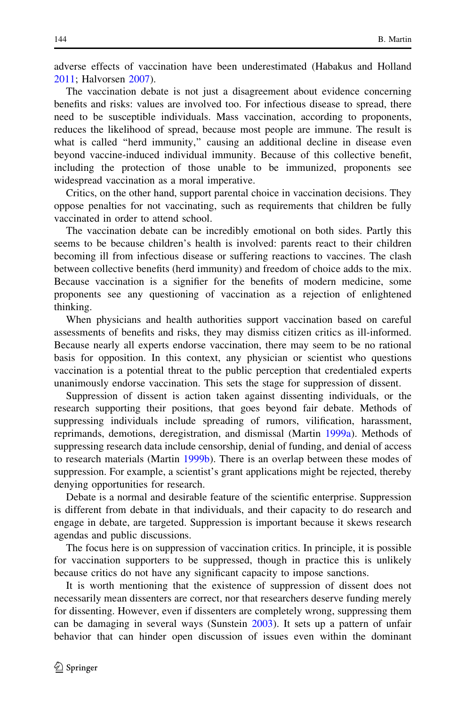adverse effects of vaccination have been underestimated (Habakus and Holland [2011;](#page-13-0) Halvorsen [2007](#page-13-0)).

The vaccination debate is not just a disagreement about evidence concerning benefits and risks: values are involved too. For infectious disease to spread, there need to be susceptible individuals. Mass vaccination, according to proponents, reduces the likelihood of spread, because most people are immune. The result is what is called "herd immunity," causing an additional decline in disease even beyond vaccine-induced individual immunity. Because of this collective benefit, including the protection of those unable to be immunized, proponents see widespread vaccination as a moral imperative.

Critics, on the other hand, support parental choice in vaccination decisions. They oppose penalties for not vaccinating, such as requirements that children be fully vaccinated in order to attend school.

The vaccination debate can be incredibly emotional on both sides. Partly this seems to be because children's health is involved: parents react to their children becoming ill from infectious disease or suffering reactions to vaccines. The clash between collective benefits (herd immunity) and freedom of choice adds to the mix. Because vaccination is a signifier for the benefits of modern medicine, some proponents see any questioning of vaccination as a rejection of enlightened thinking.

When physicians and health authorities support vaccination based on careful assessments of benefits and risks, they may dismiss citizen critics as ill-informed. Because nearly all experts endorse vaccination, there may seem to be no rational basis for opposition. In this context, any physician or scientist who questions vaccination is a potential threat to the public perception that credentialed experts unanimously endorse vaccination. This sets the stage for suppression of dissent.

Suppression of dissent is action taken against dissenting individuals, or the research supporting their positions, that goes beyond fair debate. Methods of suppressing individuals include spreading of rumors, vilification, harassment, reprimands, demotions, deregistration, and dismissal (Martin [1999a](#page-13-0)). Methods of suppressing research data include censorship, denial of funding, and denial of access to research materials (Martin [1999b\)](#page-13-0). There is an overlap between these modes of suppression. For example, a scientist's grant applications might be rejected, thereby denying opportunities for research.

Debate is a normal and desirable feature of the scientific enterprise. Suppression is different from debate in that individuals, and their capacity to do research and engage in debate, are targeted. Suppression is important because it skews research agendas and public discussions.

The focus here is on suppression of vaccination critics. In principle, it is possible for vaccination supporters to be suppressed, though in practice this is unlikely because critics do not have any significant capacity to impose sanctions.

It is worth mentioning that the existence of suppression of dissent does not necessarily mean dissenters are correct, nor that researchers deserve funding merely for dissenting. However, even if dissenters are completely wrong, suppressing them can be damaging in several ways (Sunstein [2003\)](#page-14-0). It sets up a pattern of unfair behavior that can hinder open discussion of issues even within the dominant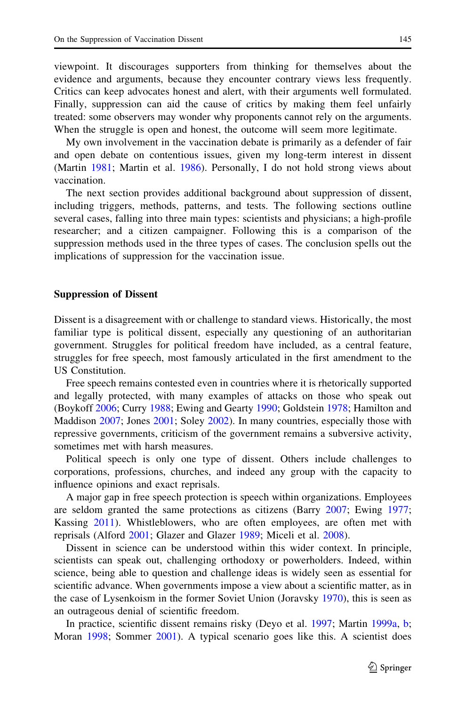viewpoint. It discourages supporters from thinking for themselves about the evidence and arguments, because they encounter contrary views less frequently. Critics can keep advocates honest and alert, with their arguments well formulated. Finally, suppression can aid the cause of critics by making them feel unfairly treated: some observers may wonder why proponents cannot rely on the arguments. When the struggle is open and honest, the outcome will seem more legitimate.

My own involvement in the vaccination debate is primarily as a defender of fair and open debate on contentious issues, given my long-term interest in dissent (Martin [1981;](#page-13-0) Martin et al. [1986\)](#page-13-0). Personally, I do not hold strong views about vaccination.

The next section provides additional background about suppression of dissent, including triggers, methods, patterns, and tests. The following sections outline several cases, falling into three main types: scientists and physicians; a high-profile researcher; and a citizen campaigner. Following this is a comparison of the suppression methods used in the three types of cases. The conclusion spells out the implications of suppression for the vaccination issue.

### Suppression of Dissent

Dissent is a disagreement with or challenge to standard views. Historically, the most familiar type is political dissent, especially any questioning of an authoritarian government. Struggles for political freedom have included, as a central feature, struggles for free speech, most famously articulated in the first amendment to the US Constitution.

Free speech remains contested even in countries where it is rhetorically supported and legally protected, with many examples of attacks on those who speak out (Boykoff [2006](#page-12-0); Curry [1988](#page-12-0); Ewing and Gearty [1990;](#page-12-0) Goldstein [1978](#page-13-0); Hamilton and Maddison [2007;](#page-13-0) Jones [2001;](#page-13-0) Soley [2002](#page-14-0)). In many countries, especially those with repressive governments, criticism of the government remains a subversive activity, sometimes met with harsh measures.

Political speech is only one type of dissent. Others include challenges to corporations, professions, churches, and indeed any group with the capacity to influence opinions and exact reprisals.

A major gap in free speech protection is speech within organizations. Employees are seldom granted the same protections as citizens (Barry [2007](#page-12-0); Ewing [1977;](#page-12-0) Kassing [2011](#page-13-0)). Whistleblowers, who are often employees, are often met with reprisals (Alford [2001](#page-12-0); Glazer and Glazer [1989](#page-12-0); Miceli et al. [2008\)](#page-13-0).

Dissent in science can be understood within this wider context. In principle, scientists can speak out, challenging orthodoxy or powerholders. Indeed, within science, being able to question and challenge ideas is widely seen as essential for scientific advance. When governments impose a view about a scientific matter, as in the case of Lysenkoism in the former Soviet Union (Joravsky [1970\)](#page-13-0), this is seen as an outrageous denial of scientific freedom.

In practice, scientific dissent remains risky (Deyo et al. [1997](#page-12-0); Martin [1999a,](#page-13-0) [b;](#page-13-0) Moran [1998;](#page-13-0) Sommer [2001](#page-14-0)). A typical scenario goes like this. A scientist does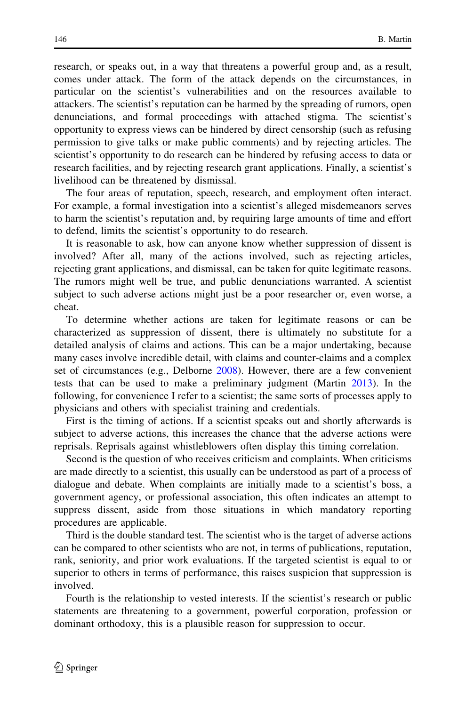research, or speaks out, in a way that threatens a powerful group and, as a result, comes under attack. The form of the attack depends on the circumstances, in particular on the scientist's vulnerabilities and on the resources available to attackers. The scientist's reputation can be harmed by the spreading of rumors, open denunciations, and formal proceedings with attached stigma. The scientist's opportunity to express views can be hindered by direct censorship (such as refusing permission to give talks or make public comments) and by rejecting articles. The scientist's opportunity to do research can be hindered by refusing access to data or research facilities, and by rejecting research grant applications. Finally, a scientist's livelihood can be threatened by dismissal.

The four areas of reputation, speech, research, and employment often interact. For example, a formal investigation into a scientist's alleged misdemeanors serves to harm the scientist's reputation and, by requiring large amounts of time and effort to defend, limits the scientist's opportunity to do research.

It is reasonable to ask, how can anyone know whether suppression of dissent is involved? After all, many of the actions involved, such as rejecting articles, rejecting grant applications, and dismissal, can be taken for quite legitimate reasons. The rumors might well be true, and public denunciations warranted. A scientist subject to such adverse actions might just be a poor researcher or, even worse, a cheat.

To determine whether actions are taken for legitimate reasons or can be characterized as suppression of dissent, there is ultimately no substitute for a detailed analysis of claims and actions. This can be a major undertaking, because many cases involve incredible detail, with claims and counter-claims and a complex set of circumstances (e.g., Delborne [2008](#page-12-0)). However, there are a few convenient tests that can be used to make a preliminary judgment (Martin [2013\)](#page-13-0). In the following, for convenience I refer to a scientist; the same sorts of processes apply to physicians and others with specialist training and credentials.

First is the timing of actions. If a scientist speaks out and shortly afterwards is subject to adverse actions, this increases the chance that the adverse actions were reprisals. Reprisals against whistleblowers often display this timing correlation.

Second is the question of who receives criticism and complaints. When criticisms are made directly to a scientist, this usually can be understood as part of a process of dialogue and debate. When complaints are initially made to a scientist's boss, a government agency, or professional association, this often indicates an attempt to suppress dissent, aside from those situations in which mandatory reporting procedures are applicable.

Third is the double standard test. The scientist who is the target of adverse actions can be compared to other scientists who are not, in terms of publications, reputation, rank, seniority, and prior work evaluations. If the targeted scientist is equal to or superior to others in terms of performance, this raises suspicion that suppression is involved.

Fourth is the relationship to vested interests. If the scientist's research or public statements are threatening to a government, powerful corporation, profession or dominant orthodoxy, this is a plausible reason for suppression to occur.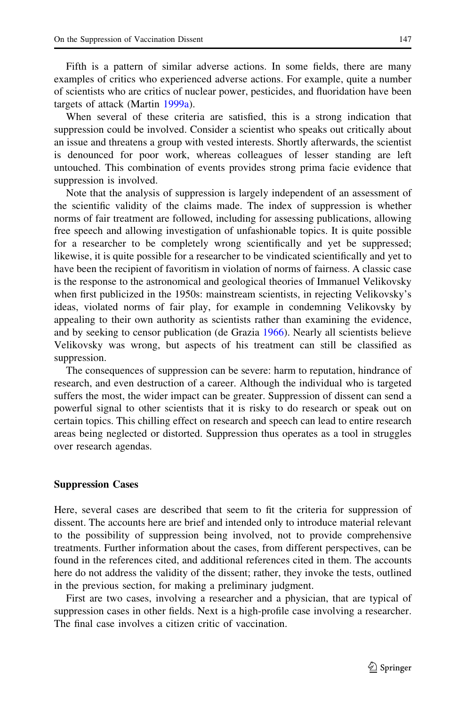Fifth is a pattern of similar adverse actions. In some fields, there are many examples of critics who experienced adverse actions. For example, quite a number of scientists who are critics of nuclear power, pesticides, and fluoridation have been targets of attack (Martin [1999a](#page-13-0)).

When several of these criteria are satisfied, this is a strong indication that suppression could be involved. Consider a scientist who speaks out critically about an issue and threatens a group with vested interests. Shortly afterwards, the scientist is denounced for poor work, whereas colleagues of lesser standing are left untouched. This combination of events provides strong prima facie evidence that suppression is involved.

Note that the analysis of suppression is largely independent of an assessment of the scientific validity of the claims made. The index of suppression is whether norms of fair treatment are followed, including for assessing publications, allowing free speech and allowing investigation of unfashionable topics. It is quite possible for a researcher to be completely wrong scientifically and yet be suppressed; likewise, it is quite possible for a researcher to be vindicated scientifically and yet to have been the recipient of favoritism in violation of norms of fairness. A classic case is the response to the astronomical and geological theories of Immanuel Velikovsky when first publicized in the 1950s: mainstream scientists, in rejecting Velikovsky's ideas, violated norms of fair play, for example in condemning Velikovsky by appealing to their own authority as scientists rather than examining the evidence, and by seeking to censor publication (de Grazia [1966\)](#page-12-0). Nearly all scientists believe Velikovsky was wrong, but aspects of his treatment can still be classified as suppression.

The consequences of suppression can be severe: harm to reputation, hindrance of research, and even destruction of a career. Although the individual who is targeted suffers the most, the wider impact can be greater. Suppression of dissent can send a powerful signal to other scientists that it is risky to do research or speak out on certain topics. This chilling effect on research and speech can lead to entire research areas being neglected or distorted. Suppression thus operates as a tool in struggles over research agendas.

#### Suppression Cases

Here, several cases are described that seem to fit the criteria for suppression of dissent. The accounts here are brief and intended only to introduce material relevant to the possibility of suppression being involved, not to provide comprehensive treatments. Further information about the cases, from different perspectives, can be found in the references cited, and additional references cited in them. The accounts here do not address the validity of the dissent; rather, they invoke the tests, outlined in the previous section, for making a preliminary judgment.

First are two cases, involving a researcher and a physician, that are typical of suppression cases in other fields. Next is a high-profile case involving a researcher. The final case involves a citizen critic of vaccination.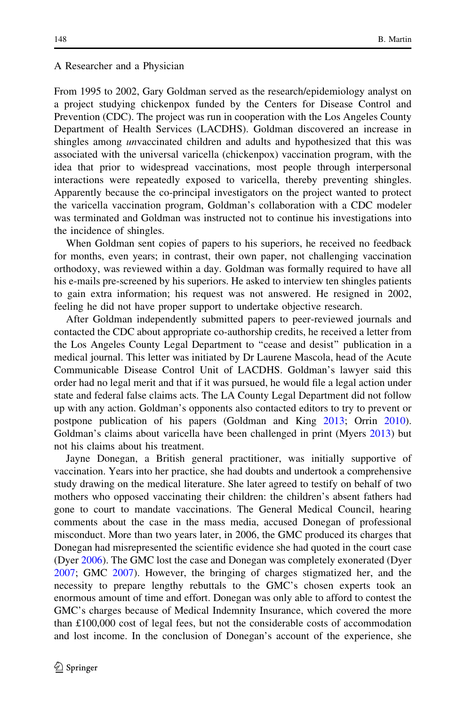### A Researcher and a Physician

From 1995 to 2002, Gary Goldman served as the research/epidemiology analyst on a project studying chickenpox funded by the Centers for Disease Control and Prevention (CDC). The project was run in cooperation with the Los Angeles County Department of Health Services (LACDHS). Goldman discovered an increase in shingles among *unvaccinated children and adults and hypothesized that this was* associated with the universal varicella (chickenpox) vaccination program, with the idea that prior to widespread vaccinations, most people through interpersonal interactions were repeatedly exposed to varicella, thereby preventing shingles. Apparently because the co-principal investigators on the project wanted to protect the varicella vaccination program, Goldman's collaboration with a CDC modeler was terminated and Goldman was instructed not to continue his investigations into the incidence of shingles.

When Goldman sent copies of papers to his superiors, he received no feedback for months, even years; in contrast, their own paper, not challenging vaccination orthodoxy, was reviewed within a day. Goldman was formally required to have all his e-mails pre-screened by his superiors. He asked to interview ten shingles patients to gain extra information; his request was not answered. He resigned in 2002, feeling he did not have proper support to undertake objective research.

After Goldman independently submitted papers to peer-reviewed journals and contacted the CDC about appropriate co-authorship credits, he received a letter from the Los Angeles County Legal Department to ''cease and desist'' publication in a medical journal. This letter was initiated by Dr Laurene Mascola, head of the Acute Communicable Disease Control Unit of LACDHS. Goldman's lawyer said this order had no legal merit and that if it was pursued, he would file a legal action under state and federal false claims acts. The LA County Legal Department did not follow up with any action. Goldman's opponents also contacted editors to try to prevent or postpone publication of his papers (Goldman and King [2013](#page-13-0); Orrin [2010\)](#page-13-0). Goldman's claims about varicella have been challenged in print (Myers [2013\)](#page-13-0) but not his claims about his treatment.

Jayne Donegan, a British general practitioner, was initially supportive of vaccination. Years into her practice, she had doubts and undertook a comprehensive study drawing on the medical literature. She later agreed to testify on behalf of two mothers who opposed vaccinating their children: the children's absent fathers had gone to court to mandate vaccinations. The General Medical Council, hearing comments about the case in the mass media, accused Donegan of professional misconduct. More than two years later, in 2006, the GMC produced its charges that Donegan had misrepresented the scientific evidence she had quoted in the court case (Dyer [2006\)](#page-12-0). The GMC lost the case and Donegan was completely exonerated (Dyer [2007;](#page-12-0) GMC [2007](#page-13-0)). However, the bringing of charges stigmatized her, and the necessity to prepare lengthy rebuttals to the GMC's chosen experts took an enormous amount of time and effort. Donegan was only able to afford to contest the GMC's charges because of Medical Indemnity Insurance, which covered the more than  $£100,000$  cost of legal fees, but not the considerable costs of accommodation and lost income. In the conclusion of Donegan's account of the experience, she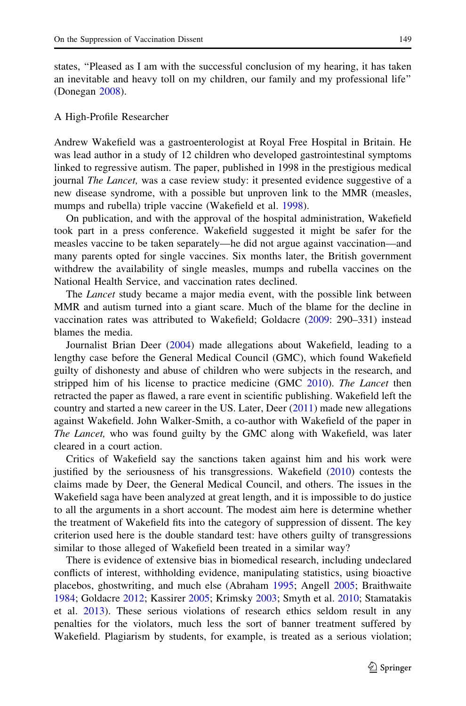states, ''Pleased as I am with the successful conclusion of my hearing, it has taken an inevitable and heavy toll on my children, our family and my professional life'' (Donegan [2008\)](#page-12-0).

### A High-Profile Researcher

Andrew Wakefield was a gastroenterologist at Royal Free Hospital in Britain. He was lead author in a study of 12 children who developed gastrointestinal symptoms linked to regressive autism. The paper, published in 1998 in the prestigious medical journal The Lancet, was a case review study: it presented evidence suggestive of a new disease syndrome, with a possible but unproven link to the MMR (measles, mumps and rubella) triple vaccine (Wakefield et al. [1998](#page-14-0)).

On publication, and with the approval of the hospital administration, Wakefield took part in a press conference. Wakefield suggested it might be safer for the measles vaccine to be taken separately—he did not argue against vaccination—and many parents opted for single vaccines. Six months later, the British government withdrew the availability of single measles, mumps and rubella vaccines on the National Health Service, and vaccination rates declined.

The *Lancet* study became a major media event, with the possible link between MMR and autism turned into a giant scare. Much of the blame for the decline in vaccination rates was attributed to Wakefield; Goldacre ([2009:](#page-13-0) 290–331) instead blames the media.

Journalist Brian Deer [\(2004](#page-12-0)) made allegations about Wakefield, leading to a lengthy case before the General Medical Council (GMC), which found Wakefield guilty of dishonesty and abuse of children who were subjects in the research, and stripped him of his license to practice medicine (GMC [2010\)](#page-13-0). The Lancet then retracted the paper as flawed, a rare event in scientific publishing. Wakefield left the country and started a new career in the US. Later, Deer [\(2011](#page-12-0)) made new allegations against Wakefield. John Walker-Smith, a co-author with Wakefield of the paper in The Lancet, who was found guilty by the GMC along with Wakefield, was later cleared in a court action.

Critics of Wakefield say the sanctions taken against him and his work were justified by the seriousness of his transgressions. Wakefield [\(2010](#page-14-0)) contests the claims made by Deer, the General Medical Council, and others. The issues in the Wakefield saga have been analyzed at great length, and it is impossible to do justice to all the arguments in a short account. The modest aim here is determine whether the treatment of Wakefield fits into the category of suppression of dissent. The key criterion used here is the double standard test: have others guilty of transgressions similar to those alleged of Wakefield been treated in a similar way?

There is evidence of extensive bias in biomedical research, including undeclared conflicts of interest, withholding evidence, manipulating statistics, using bioactive placebos, ghostwriting, and much else (Abraham [1995](#page-12-0); Angell [2005;](#page-12-0) Braithwaite [1984;](#page-12-0) Goldacre [2012](#page-13-0); Kassirer [2005;](#page-13-0) Krimsky [2003](#page-13-0); Smyth et al. [2010;](#page-14-0) Stamatakis et al. [2013\)](#page-14-0). These serious violations of research ethics seldom result in any penalties for the violators, much less the sort of banner treatment suffered by Wakefield. Plagiarism by students, for example, is treated as a serious violation;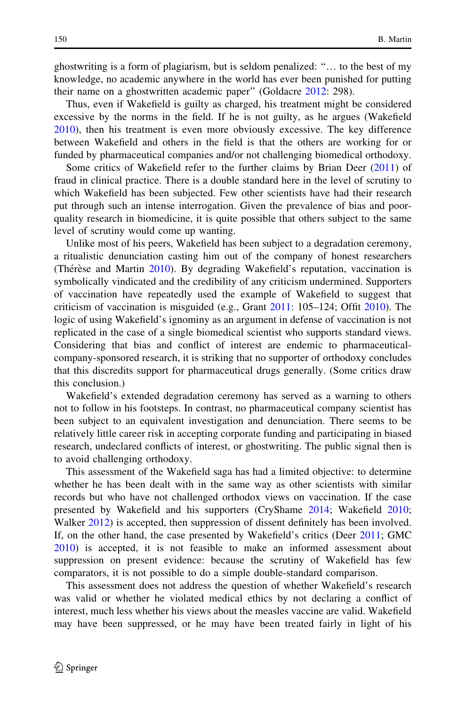ghostwriting is a form of plagiarism, but is seldom penalized: ''… to the best of my knowledge, no academic anywhere in the world has ever been punished for putting their name on a ghostwritten academic paper'' (Goldacre [2012:](#page-13-0) 298).

Thus, even if Wakefield is guilty as charged, his treatment might be considered excessive by the norms in the field. If he is not guilty, as he argues (Wakefield [2010\)](#page-14-0), then his treatment is even more obviously excessive. The key difference between Wakefield and others in the field is that the others are working for or funded by pharmaceutical companies and/or not challenging biomedical orthodoxy.

Some critics of Wakefield refer to the further claims by Brian Deer ([2011\)](#page-12-0) of fraud in clinical practice. There is a double standard here in the level of scrutiny to which Wakefield has been subjected. Few other scientists have had their research put through such an intense interrogation. Given the prevalence of bias and poorquality research in biomedicine, it is quite possible that others subject to the same level of scrutiny would come up wanting.

Unlike most of his peers, Wakefield has been subject to a degradation ceremony, a ritualistic denunciation casting him out of the company of honest researchers (Thérèse and Martin [2010\)](#page-14-0). By degrading Wakefield's reputation, vaccination is symbolically vindicated and the credibility of any criticism undermined. Supporters of vaccination have repeatedly used the example of Wakefield to suggest that criticism of vaccination is misguided (e.g., Grant [2011:](#page-13-0) 105–124; Offit [2010\)](#page-13-0). The logic of using Wakefield's ignominy as an argument in defense of vaccination is not replicated in the case of a single biomedical scientist who supports standard views. Considering that bias and conflict of interest are endemic to pharmaceuticalcompany-sponsored research, it is striking that no supporter of orthodoxy concludes that this discredits support for pharmaceutical drugs generally. (Some critics draw this conclusion.)

Wakefield's extended degradation ceremony has served as a warning to others not to follow in his footsteps. In contrast, no pharmaceutical company scientist has been subject to an equivalent investigation and denunciation. There seems to be relatively little career risk in accepting corporate funding and participating in biased research, undeclared conflicts of interest, or ghostwriting. The public signal then is to avoid challenging orthodoxy.

This assessment of the Wakefield saga has had a limited objective: to determine whether he has been dealt with in the same way as other scientists with similar records but who have not challenged orthodox views on vaccination. If the case presented by Wakefield and his supporters (CryShame [2014;](#page-12-0) Wakefield [2010;](#page-14-0) Walker [2012](#page-14-0)) is accepted, then suppression of dissent definitely has been involved. If, on the other hand, the case presented by Wakefield's critics (Deer [2011](#page-12-0); GMC [2010\)](#page-13-0) is accepted, it is not feasible to make an informed assessment about suppression on present evidence: because the scrutiny of Wakefield has few comparators, it is not possible to do a simple double-standard comparison.

This assessment does not address the question of whether Wakefield's research was valid or whether he violated medical ethics by not declaring a conflict of interest, much less whether his views about the measles vaccine are valid. Wakefield may have been suppressed, or he may have been treated fairly in light of his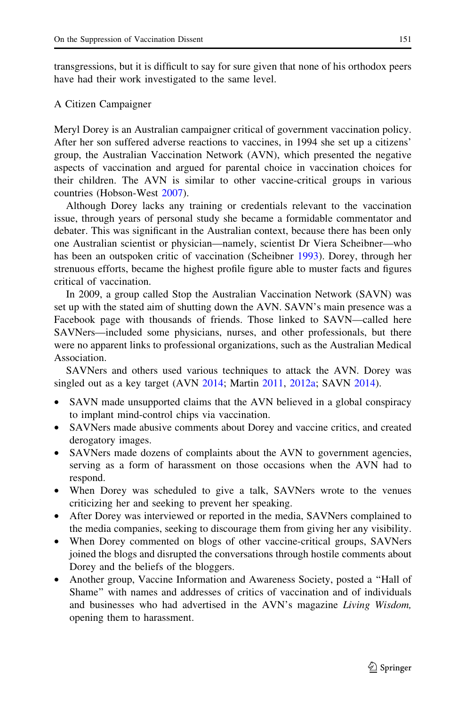transgressions, but it is difficult to say for sure given that none of his orthodox peers have had their work investigated to the same level.

## A Citizen Campaigner

Meryl Dorey is an Australian campaigner critical of government vaccination policy. After her son suffered adverse reactions to vaccines, in 1994 she set up a citizens' group, the Australian Vaccination Network (AVN), which presented the negative aspects of vaccination and argued for parental choice in vaccination choices for their children. The AVN is similar to other vaccine-critical groups in various countries (Hobson-West [2007\)](#page-13-0).

Although Dorey lacks any training or credentials relevant to the vaccination issue, through years of personal study she became a formidable commentator and debater. This was significant in the Australian context, because there has been only one Australian scientist or physician—namely, scientist Dr Viera Scheibner—who has been an outspoken critic of vaccination (Scheibner [1993\)](#page-14-0). Dorey, through her strenuous efforts, became the highest profile figure able to muster facts and figures critical of vaccination.

In 2009, a group called Stop the Australian Vaccination Network (SAVN) was set up with the stated aim of shutting down the AVN. SAVN's main presence was a Facebook page with thousands of friends. Those linked to SAVN—called here SAVNers—included some physicians, nurses, and other professionals, but there were no apparent links to professional organizations, such as the Australian Medical Association.

SAVNers and others used various techniques to attack the AVN. Dorey was singled out as a key target (AVN [2014;](#page-12-0) Martin [2011,](#page-13-0) [2012a;](#page-13-0) SAVN [2014](#page-14-0)).

- SAVN made unsupported claims that the AVN believed in a global conspiracy to implant mind-control chips via vaccination.
- SAVNers made abusive comments about Dorey and vaccine critics, and created derogatory images.
- SAVNers made dozens of complaints about the AVN to government agencies, serving as a form of harassment on those occasions when the AVN had to respond.
- When Dorey was scheduled to give a talk, SAVNers wrote to the venues criticizing her and seeking to prevent her speaking.
- After Dorey was interviewed or reported in the media, SAVNers complained to the media companies, seeking to discourage them from giving her any visibility.
- When Dorey commented on blogs of other vaccine-critical groups, SAVNers joined the blogs and disrupted the conversations through hostile comments about Dorey and the beliefs of the bloggers.
- Another group, Vaccine Information and Awareness Society, posted a "Hall of Shame'' with names and addresses of critics of vaccination and of individuals and businesses who had advertised in the AVN's magazine Living Wisdom, opening them to harassment.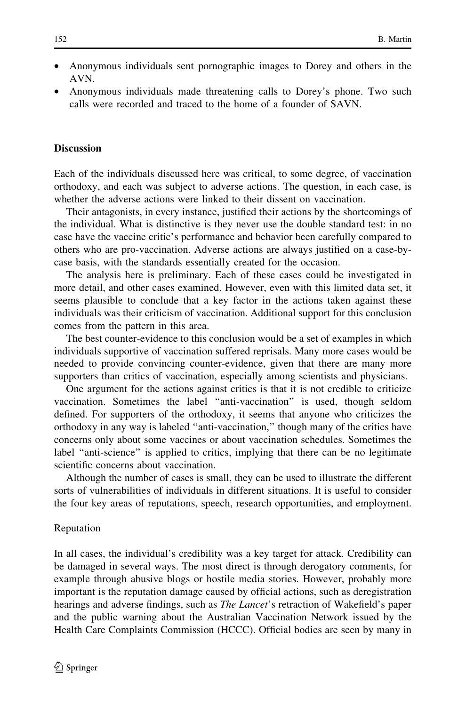- Anonymous individuals sent pornographic images to Dorey and others in the AVN.
- Anonymous individuals made threatening calls to Dorey's phone. Two such calls were recorded and traced to the home of a founder of SAVN.

# **Discussion**

Each of the individuals discussed here was critical, to some degree, of vaccination orthodoxy, and each was subject to adverse actions. The question, in each case, is whether the adverse actions were linked to their dissent on vaccination.

Their antagonists, in every instance, justified their actions by the shortcomings of the individual. What is distinctive is they never use the double standard test: in no case have the vaccine critic's performance and behavior been carefully compared to others who are pro-vaccination. Adverse actions are always justified on a case-bycase basis, with the standards essentially created for the occasion.

The analysis here is preliminary. Each of these cases could be investigated in more detail, and other cases examined. However, even with this limited data set, it seems plausible to conclude that a key factor in the actions taken against these individuals was their criticism of vaccination. Additional support for this conclusion comes from the pattern in this area.

The best counter-evidence to this conclusion would be a set of examples in which individuals supportive of vaccination suffered reprisals. Many more cases would be needed to provide convincing counter-evidence, given that there are many more supporters than critics of vaccination, especially among scientists and physicians.

One argument for the actions against critics is that it is not credible to criticize vaccination. Sometimes the label ''anti-vaccination'' is used, though seldom defined. For supporters of the orthodoxy, it seems that anyone who criticizes the orthodoxy in any way is labeled ''anti-vaccination,'' though many of the critics have concerns only about some vaccines or about vaccination schedules. Sometimes the label "anti-science" is applied to critics, implying that there can be no legitimate scientific concerns about vaccination.

Although the number of cases is small, they can be used to illustrate the different sorts of vulnerabilities of individuals in different situations. It is useful to consider the four key areas of reputations, speech, research opportunities, and employment.

# Reputation

In all cases, the individual's credibility was a key target for attack. Credibility can be damaged in several ways. The most direct is through derogatory comments, for example through abusive blogs or hostile media stories. However, probably more important is the reputation damage caused by official actions, such as deregistration hearings and adverse findings, such as *The Lancet*'s retraction of Wakefield's paper and the public warning about the Australian Vaccination Network issued by the Health Care Complaints Commission (HCCC). Official bodies are seen by many in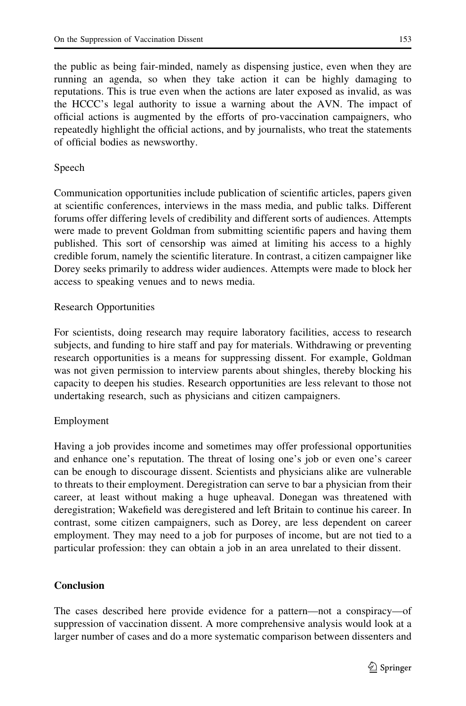the public as being fair-minded, namely as dispensing justice, even when they are running an agenda, so when they take action it can be highly damaging to reputations. This is true even when the actions are later exposed as invalid, as was the HCCC's legal authority to issue a warning about the AVN. The impact of official actions is augmented by the efforts of pro-vaccination campaigners, who repeatedly highlight the official actions, and by journalists, who treat the statements of official bodies as newsworthy.

## Speech

Communication opportunities include publication of scientific articles, papers given at scientific conferences, interviews in the mass media, and public talks. Different forums offer differing levels of credibility and different sorts of audiences. Attempts were made to prevent Goldman from submitting scientific papers and having them published. This sort of censorship was aimed at limiting his access to a highly credible forum, namely the scientific literature. In contrast, a citizen campaigner like Dorey seeks primarily to address wider audiences. Attempts were made to block her access to speaking venues and to news media.

## Research Opportunities

For scientists, doing research may require laboratory facilities, access to research subjects, and funding to hire staff and pay for materials. Withdrawing or preventing research opportunities is a means for suppressing dissent. For example, Goldman was not given permission to interview parents about shingles, thereby blocking his capacity to deepen his studies. Research opportunities are less relevant to those not undertaking research, such as physicians and citizen campaigners.

## Employment

Having a job provides income and sometimes may offer professional opportunities and enhance one's reputation. The threat of losing one's job or even one's career can be enough to discourage dissent. Scientists and physicians alike are vulnerable to threats to their employment. Deregistration can serve to bar a physician from their career, at least without making a huge upheaval. Donegan was threatened with deregistration; Wakefield was deregistered and left Britain to continue his career. In contrast, some citizen campaigners, such as Dorey, are less dependent on career employment. They may need to a job for purposes of income, but are not tied to a particular profession: they can obtain a job in an area unrelated to their dissent.

## Conclusion

The cases described here provide evidence for a pattern—not a conspiracy—of suppression of vaccination dissent. A more comprehensive analysis would look at a larger number of cases and do a more systematic comparison between dissenters and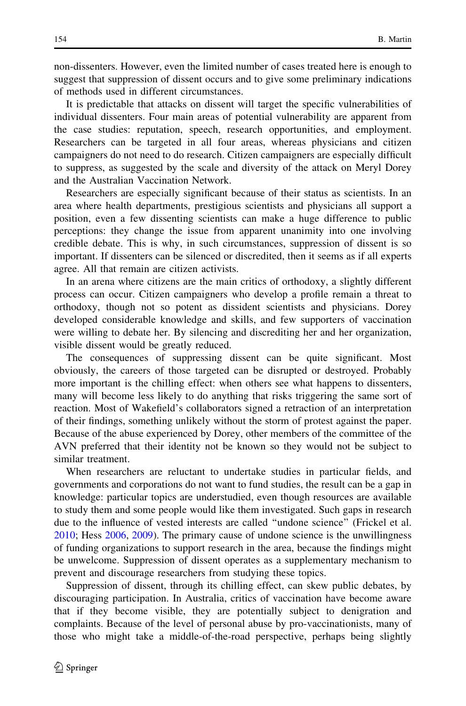non-dissenters. However, even the limited number of cases treated here is enough to suggest that suppression of dissent occurs and to give some preliminary indications of methods used in different circumstances.

It is predictable that attacks on dissent will target the specific vulnerabilities of individual dissenters. Four main areas of potential vulnerability are apparent from the case studies: reputation, speech, research opportunities, and employment. Researchers can be targeted in all four areas, whereas physicians and citizen campaigners do not need to do research. Citizen campaigners are especially difficult to suppress, as suggested by the scale and diversity of the attack on Meryl Dorey and the Australian Vaccination Network.

Researchers are especially significant because of their status as scientists. In an area where health departments, prestigious scientists and physicians all support a position, even a few dissenting scientists can make a huge difference to public perceptions: they change the issue from apparent unanimity into one involving credible debate. This is why, in such circumstances, suppression of dissent is so important. If dissenters can be silenced or discredited, then it seems as if all experts agree. All that remain are citizen activists.

In an arena where citizens are the main critics of orthodoxy, a slightly different process can occur. Citizen campaigners who develop a profile remain a threat to orthodoxy, though not so potent as dissident scientists and physicians. Dorey developed considerable knowledge and skills, and few supporters of vaccination were willing to debate her. By silencing and discrediting her and her organization, visible dissent would be greatly reduced.

The consequences of suppressing dissent can be quite significant. Most obviously, the careers of those targeted can be disrupted or destroyed. Probably more important is the chilling effect: when others see what happens to dissenters, many will become less likely to do anything that risks triggering the same sort of reaction. Most of Wakefield's collaborators signed a retraction of an interpretation of their findings, something unlikely without the storm of protest against the paper. Because of the abuse experienced by Dorey, other members of the committee of the AVN preferred that their identity not be known so they would not be subject to similar treatment.

When researchers are reluctant to undertake studies in particular fields, and governments and corporations do not want to fund studies, the result can be a gap in knowledge: particular topics are understudied, even though resources are available to study them and some people would like them investigated. Such gaps in research due to the influence of vested interests are called ''undone science'' (Frickel et al. [2010;](#page-12-0) Hess [2006](#page-13-0), [2009](#page-13-0)). The primary cause of undone science is the unwillingness of funding organizations to support research in the area, because the findings might be unwelcome. Suppression of dissent operates as a supplementary mechanism to prevent and discourage researchers from studying these topics.

Suppression of dissent, through its chilling effect, can skew public debates, by discouraging participation. In Australia, critics of vaccination have become aware that if they become visible, they are potentially subject to denigration and complaints. Because of the level of personal abuse by pro-vaccinationists, many of those who might take a middle-of-the-road perspective, perhaps being slightly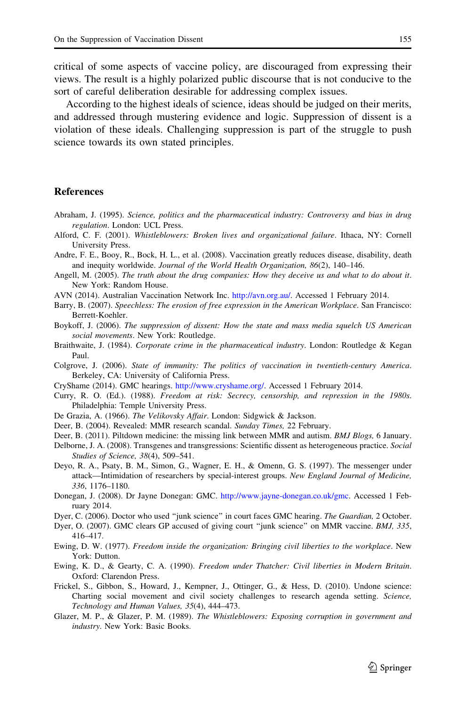<span id="page-12-0"></span>critical of some aspects of vaccine policy, are discouraged from expressing their views. The result is a highly polarized public discourse that is not conducive to the sort of careful deliberation desirable for addressing complex issues.

According to the highest ideals of science, ideas should be judged on their merits, and addressed through mustering evidence and logic. Suppression of dissent is a violation of these ideals. Challenging suppression is part of the struggle to push science towards its own stated principles.

#### References

- Abraham, J. (1995). Science, politics and the pharmaceutical industry: Controversy and bias in drug regulation. London: UCL Press.
- Alford, C. F. (2001). Whistleblowers: Broken lives and organizational failure. Ithaca, NY: Cornell University Press.
- Andre, F. E., Booy, R., Bock, H. L., et al. (2008). Vaccination greatly reduces disease, disability, death and inequity worldwide. Journal of the World Health Organization, 86(2), 140–146.
- Angell, M. (2005). The truth about the drug companies: How they deceive us and what to do about it. New York: Random House.
- AVN (2014). Australian Vaccination Network Inc. [http://avn.org.au/.](http://avn.org.au/) Accessed 1 February 2014.
- Barry, B. (2007). Speechless: The erosion of free expression in the American Workplace. San Francisco: Berrett-Koehler.
- Boykoff, J. (2006). The suppression of dissent: How the state and mass media squelch US American social movements. New York: Routledge.
- Braithwaite, J. (1984). Corporate crime in the pharmaceutical industry. London: Routledge & Kegan Paul.
- Colgrove, J. (2006). State of immunity: The politics of vaccination in twentieth-century America. Berkeley, CA: University of California Press.
- CryShame (2014). GMC hearings. <http://www.cryshame.org/>. Accessed 1 February 2014.
- Curry, R. O. (Ed.). (1988). Freedom at risk: Secrecy, censorship, and repression in the 1980s. Philadelphia: Temple University Press.
- De Grazia, A. (1966). The Velikovsky Affair. London: Sidgwick & Jackson.
- Deer, B. (2004). Revealed: MMR research scandal. Sunday Times, 22 February.
- Deer, B. (2011). Piltdown medicine: the missing link between MMR and autism. BMJ Blogs, 6 January.
- Delborne, J. A. (2008). Transgenes and transgressions: Scientific dissent as heterogeneous practice. Social Studies of Science, 38(4), 509–541.
- Deyo, R. A., Psaty, B. M., Simon, G., Wagner, E. H., & Omenn, G. S. (1997). The messenger under attack—Intimidation of researchers by special-interest groups. New England Journal of Medicine, 336, 1176–1180.
- Donegan, J. (2008). Dr Jayne Donegan: GMC. [http://www.jayne-donegan.co.uk/gmc.](http://www.jayne-donegan.co.uk/gmc) Accessed 1 February 2014.
- Dyer, C. (2006). Doctor who used "junk science" in court faces GMC hearing. The Guardian, 2 October.
- Dyer, O. (2007). GMC clears GP accused of giving court "junk science" on MMR vaccine. BMJ, 335, 416–417.
- Ewing, D. W. (1977). Freedom inside the organization: Bringing civil liberties to the workplace. New York: Dutton.
- Ewing, K. D., & Gearty, C. A. (1990). Freedom under Thatcher: Civil liberties in Modern Britain. Oxford: Clarendon Press.
- Frickel, S., Gibbon, S., Howard, J., Kempner, J., Ottinger, G., & Hess, D. (2010). Undone science: Charting social movement and civil society challenges to research agenda setting. Science, Technology and Human Values, 35(4), 444–473.
- Glazer, M. P., & Glazer, P. M. (1989). The Whistleblowers: Exposing corruption in government and industry. New York: Basic Books.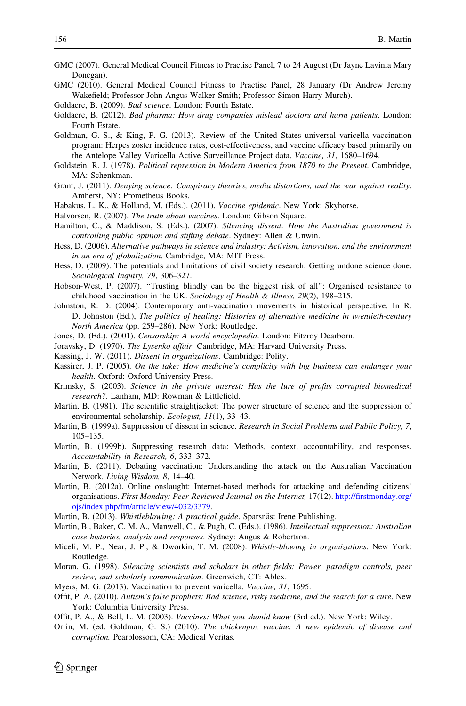- <span id="page-13-0"></span>GMC (2007). General Medical Council Fitness to Practise Panel, 7 to 24 August (Dr Jayne Lavinia Mary Donegan).
- GMC (2010). General Medical Council Fitness to Practise Panel, 28 January (Dr Andrew Jeremy Wakefield; Professor John Angus Walker-Smith; Professor Simon Harry Murch).
- Goldacre, B. (2009). Bad science. London: Fourth Estate.
- Goldacre, B. (2012). Bad pharma: How drug companies mislead doctors and harm patients. London: Fourth Estate.
- Goldman, G. S., & King, P. G. (2013). Review of the United States universal varicella vaccination program: Herpes zoster incidence rates, cost-effectiveness, and vaccine efficacy based primarily on the Antelope Valley Varicella Active Surveillance Project data. Vaccine, 31, 1680–1694.
- Goldstein, R. J. (1978). Political repression in Modern America from 1870 to the Present. Cambridge, MA: Schenkman.
- Grant, J. (2011). Denying science: Conspiracy theories, media distortions, and the war against reality. Amherst, NY: Prometheus Books.
- Habakus, L. K., & Holland, M. (Eds.). (2011). Vaccine epidemic. New York: Skyhorse.
- Halvorsen, R. (2007). The truth about vaccines. London: Gibson Square.
- Hamilton, C., & Maddison, S. (Eds.). (2007). Silencing dissent: How the Australian government is controlling public opinion and stifling debate. Sydney: Allen & Unwin.
- Hess, D. (2006). Alternative pathways in science and industry: Activism, innovation, and the environment in an era of globalization. Cambridge, MA: MIT Press.
- Hess, D. (2009). The potentials and limitations of civil society research: Getting undone science done. Sociological Inquiry, 79, 306–327.
- Hobson-West, P. (2007). ''Trusting blindly can be the biggest risk of all'': Organised resistance to childhood vaccination in the UK. Sociology of Health & Illness, 29(2), 198–215.
- Johnston, R. D. (2004). Contemporary anti-vaccination movements in historical perspective. In R. D. Johnston (Ed.), The politics of healing: Histories of alternative medicine in twentieth-century North America (pp. 259–286). New York: Routledge.
- Jones, D. (Ed.). (2001). Censorship: A world encyclopedia. London: Fitzroy Dearborn.
- Joravsky, D. (1970). The Lysenko affair. Cambridge, MA: Harvard University Press.
- Kassing, J. W. (2011). Dissent in organizations. Cambridge: Polity.
- Kassirer, J. P. (2005). On the take: How medicine's complicity with big business can endanger your health. Oxford: Oxford University Press.
- Krimsky, S. (2003). Science in the private interest: Has the lure of profits corrupted biomedical research?. Lanham, MD: Rowman & Littlefield.
- Martin, B. (1981). The scientific straightjacket: The power structure of science and the suppression of environmental scholarship. Ecologist, 11(1), 33–43.
- Martin, B. (1999a). Suppression of dissent in science. Research in Social Problems and Public Policy, 7, 105–135.
- Martin, B. (1999b). Suppressing research data: Methods, context, accountability, and responses. Accountability in Research, 6, 333–372.
- Martin, B. (2011). Debating vaccination: Understanding the attack on the Australian Vaccination Network. Living Wisdom, 8, 14–40.
- Martin, B. (2012a). Online onslaught: Internet-based methods for attacking and defending citizens' organisations. First Monday: Peer-Reviewed Journal on the Internet, 17(12). [http://firstmonday.org/](http://firstmonday.org/ojs/index.php/fm/article/view/4032/3379) [ojs/index.php/fm/article/view/4032/3379](http://firstmonday.org/ojs/index.php/fm/article/view/4032/3379).
- Martin, B. (2013). Whistleblowing: A practical guide. Sparsnäs: Irene Publishing.
- Martin, B., Baker, C. M. A., Manwell, C., & Pugh, C. (Eds.). (1986). Intellectual suppression: Australian case histories, analysis and responses. Sydney: Angus & Robertson.
- Miceli, M. P., Near, J. P., & Dworkin, T. M. (2008). Whistle-blowing in organizations. New York: Routledge.
- Moran, G. (1998). Silencing scientists and scholars in other fields: Power, paradigm controls, peer review, and scholarly communication. Greenwich, CT: Ablex.
- Myers, M. G. (2013). Vaccination to prevent varicella. Vaccine, 31, 1695.
- Offit, P. A. (2010). Autism's false prophets: Bad science, risky medicine, and the search for a cure. New York: Columbia University Press.
- Offit, P. A., & Bell, L. M. (2003). Vaccines: What you should know (3rd ed.). New York: Wiley.
- Orrin, M. (ed. Goldman, G. S.) (2010). The chickenpox vaccine: A new epidemic of disease and corruption. Pearblossom, CA: Medical Veritas.